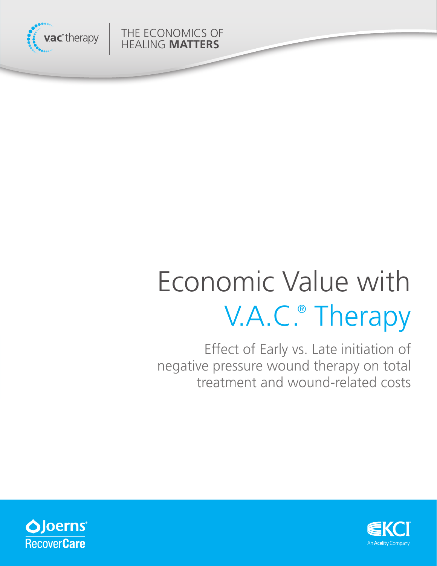

THE ECONOMICS OF HEALING **MATTERS**

# Economic Value with V.A.C.® Therapy

Effect of Early vs. Late initiation of negative pressure wound therapy on total treatment and wound-related costs



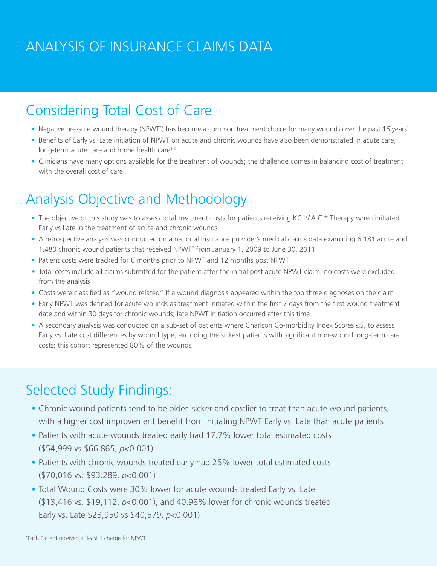## ANALYSIS OF INSURANCE CLAIMS DATA

### Considering Total Cost of Care

- Negative pressure wound therapy (NPWT<sup>\*</sup>) has become a common treatment choice for many wounds over the past 16 years<sup>1</sup>
- **•** Benefits of Early vs. Late initiation of NPWT on acute and chronic wounds have also been demonstrated in acute care, long-term acute care and home health care<sup>1-4</sup>
- **•** Clinicians have many options available for the treatment of wounds; the challenge comes in balancing cost of treatment with the overall cost of care

### Analysis Objective and Methodology

- **•** The objective of this study was to assess total treatment costs for patients receiving KCI V.A.C.® Therapy when initiated Early vs Late in the treatment of acute and chronic wounds
- **•** A retrospective analysis was conducted on a national insurance provider's medical claims data examining 6,181 acute and 1,480 chronic wound patients that received NPWT\* from January 1, 2009 to June 30, 2011
- **•** Patient costs were tracked for 6 months prior to NPWT and 12 months post NPWT
- **•** Total costs include all claims submitted for the patient after the initial post acute NPWT claim; no costs were excluded from the analysis
- **•** Costs were classified as "wound related" if a wound diagnosis appeared within the top three diagnoses on the claim
- **•** Early NPWT was defined for acute wounds as treatment initiated within the first 7 days from the first wound treatment date and within 30 days for chronic wounds; late NPWT initiation occurred after this time
- **•** A secondary analysis was conducted on a sub-set of patients where Charlson Co-morbidity Index Scores ≤5, to assess Early vs. Late cost differences by wound type, excluding the sickest patients with significant non-wound long-term care costs; this cohort represented 80% of the wounds

### Selected Study Findings:

- **•** Chronic wound patients tend to be older, sicker and costlier to treat than acute wound patients, with a higher cost improvement benefit from initiating NPWT Early vs. Late than acute patients
- **•** Patients with acute wounds treated early had 17.7% lower total estimated costs (\$54,999 vs \$66,865, *p*<0.001)
- **•** Patients with chronic wounds treated early had 25% lower total estimated costs (\$70,016 vs. \$93.289, *p*<0.001)
- **•** Total Wound Costs were 30% lower for acute wounds treated Early vs. Late (\$13,416 vs. \$19,112, *p*<0.001), and 40.98% lower for chronic wounds treated Early vs. Late \$23,950 vs \$40,579, *p*<0.001)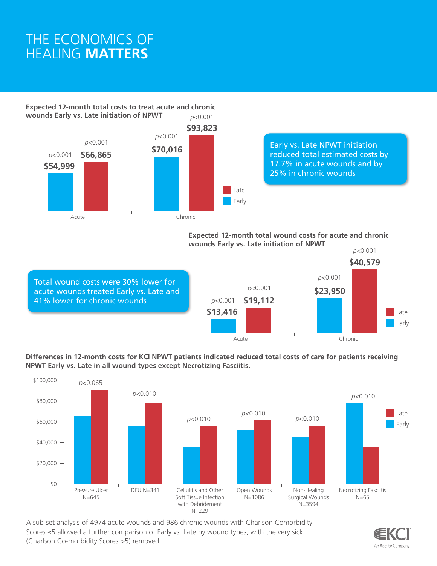### THE ECONOMICS OF HEALING **MATTERS**

**Expected 12-month total costs to treat acute and chronic wounds Early vs. Late initiation of NPWT** *p*<0.001



#### Early vs. Late NPWT initiation reduced total estimated costs by 17.7% in acute wounds and by 25% in chronic wounds

**Expected 12-month total wound costs for acute and chronic wounds Early vs. Late initiation of NPWT**

Early

Total wound costs were 30% lower for acute wounds treated Early vs. Late and 41% lower for chronic wounds



**Differences in 12-month costs for KCI NPWT patients indicated reduced total costs of care for patients receiving NPWT Early vs. Late in all wound types except Necrotizing Fasciitis.** 



A sub-set analysis of 4974 acute wounds and 986 chronic wounds with Charlson Comorbidity Scores ≤5 allowed a further comparison of Early vs. Late by wound types, with the very sick (Charlson Co-morbidity Scores >5) removed